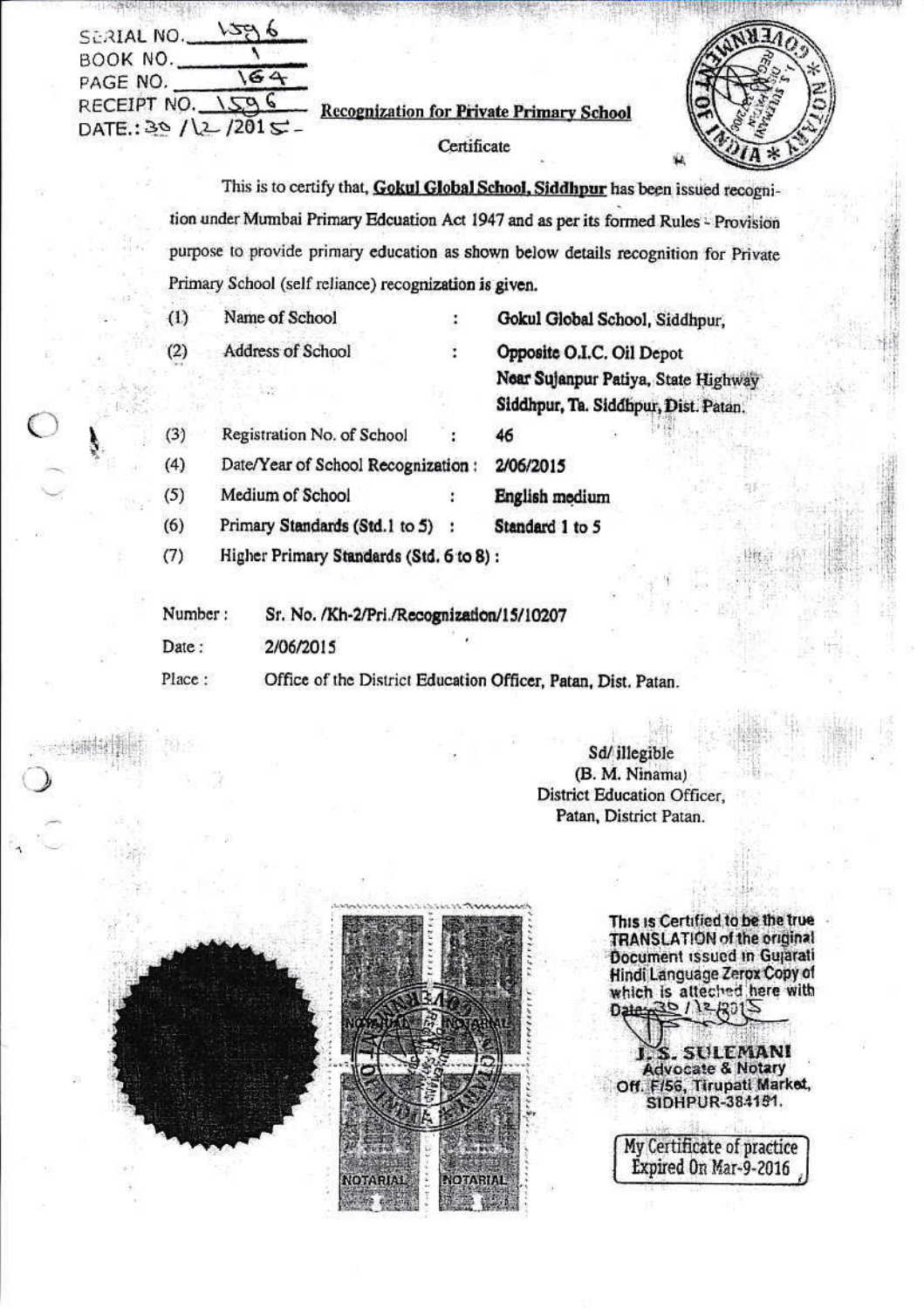| SERIAL NO.           |                                                 |  |
|----------------------|-------------------------------------------------|--|
| BOOK NO.<br>PAGE NO. |                                                 |  |
| RECEIPT NO.          | <b>Recognization for Private Primary School</b> |  |
| DATE: $39 / 201$     |                                                 |  |

This is to certify that, Gokul Global School, Siddhpur has been issued recognition under Mumbai Primary Edcuation Act 1947 and as per its formed Rules - Provision purpose to provide primary education as shown below details recognition for Private Primary School (self reliance) recognization is given.

| (1)                                                                     | Name of School                            |  | Gokul Global School, Siddhpur,                                              |  |
|-------------------------------------------------------------------------|-------------------------------------------|--|-----------------------------------------------------------------------------|--|
| (2)                                                                     | Address of School                         |  | Opposite O.I.C. Oil Depot                                                   |  |
|                                                                         |                                           |  | Near Sujanpur Patiya, State Highway<br>Siddhpur, Ta. Siddhpur, Dist. Patan. |  |
| (3)                                                                     | Registration No. of School                |  | 46                                                                          |  |
| (4)                                                                     | Date/Year of School Recognization:        |  | 2/06/2015                                                                   |  |
| (5)                                                                     | Medium of School                          |  | English medium                                                              |  |
| (6)                                                                     | Primary Standards (Std.1 to 5)            |  | Standard 1 to 5                                                             |  |
| (7)                                                                     | Higher Primary Standards (Std. 6 to 8):   |  |                                                                             |  |
| Number:                                                                 | Sr. No. /Kh-2/Pri./Recognization/15/10207 |  |                                                                             |  |
| Date:                                                                   | 2/06/2015                                 |  |                                                                             |  |
| Place:<br>Office of the District Education Officer, Patan, Dist. Patan. |                                           |  |                                                                             |  |

Sd/ illegible (B. M. Ninama) **District Education Officer,** Patan, District Patan.



This is Certified to be the true<br>TRANSLATION of the original<br>Document issued in Gujarati<br>Hindi Language Zerox Copy of<br>which is atteched here with

. SULEMANI **Advocate & Notary** Off. F/56, Tirupati Market, SIDHPUR-384151.

My Certificate of practice<br>Expired On Mar-9-2016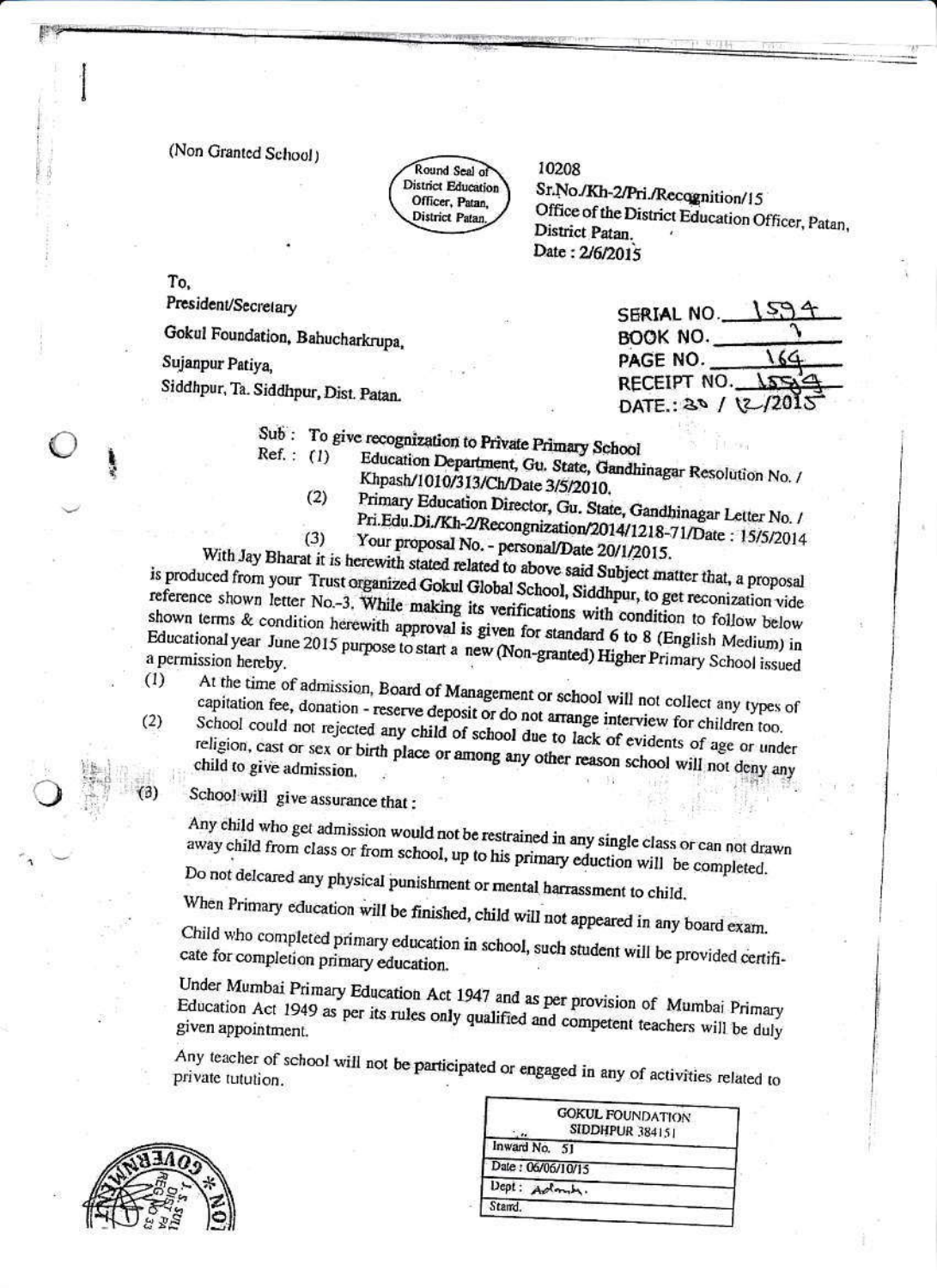(Non Granted School)

Round Seal of **District Education** Officer, Patan. District Patan

10208

Sr.No./Kh-2/Pri./Recognition/15 Office of the District Education Officer, Patan, District Patan. Date: 2/6/2015

To.

President/Secretary

Gokul Foundation, Bahucharkrupa,

Sujanpur Patiya.

Siddhpur, Ta. Siddhpur, Dist. Patan.

SERIAL NO. BOOK NO. PAGE NO. RECEIPT NO. DATE:  $30/2$ 

Sub: To give recognization to Private Primary School  $Ref. : (1)$ 

Education Department, Gu. State, Gandhinagar Resolution No. / Khpash/1010/313/Ch/Date 3/5/2010.  $(2)$ 

- Primary Education Director, Gu. State, Gandhinagar Letter No. / Pri.Edu.Di./Kh-2/Recongnization/2014/1218-71/Date: 15/5/2014  $(3)$
- Your proposal No. personal/Date 20/1/2015.

With Jay Bharat it is herewith stated related to above said Subject matter that, a proposal is produced from your Trust organized Gokul Global School, Siddhpur, to get reconization vide reference shown letter No.-3. While making its verifications with condition to follow below shown terms & condition herewith approval is given for standard 6 to 8 (English Medium) in Educational year June 2015 purpose to start a new (Non-granted) Higher Primary School issued  $(1)$ 

At the time of admission, Board of Management or school will not collect any types of capitation fee, donation - reserve deposit or do not arrange interview for children too. School could not rejected any child of school due to lack of evidents of age or under

religion, cast or sex or birth place or among any other reason school will not deny any

School will give assurance that:

Any child who get admission would not be restrained in any single class or can not drawn away child from class or from school, up to his primary eduction will be completed.

Do not delcared any physical punishment or mental harrassment to child.

When Primary education will be finished, child will not appeared in any board exam.

Child who completed primary education in school, such student will be provided certificate for completion primary education.

Under Mumbai Primary Education Act 1947 and as per provision of Mumbai Primary Education Act 1949 as per its rules only qualified and competent teachers will be duly

Any teacher of school will not be participated or engaged in any of activities related to



 $(2)$ 

|                   | <b>GOKUL FOUNDATION</b><br>SIDDHPUR 384151 |
|-------------------|--------------------------------------------|
| Inward No. 51     |                                            |
| Date: 06/06/10/15 |                                            |
| Dept:             |                                            |
| Stand.            |                                            |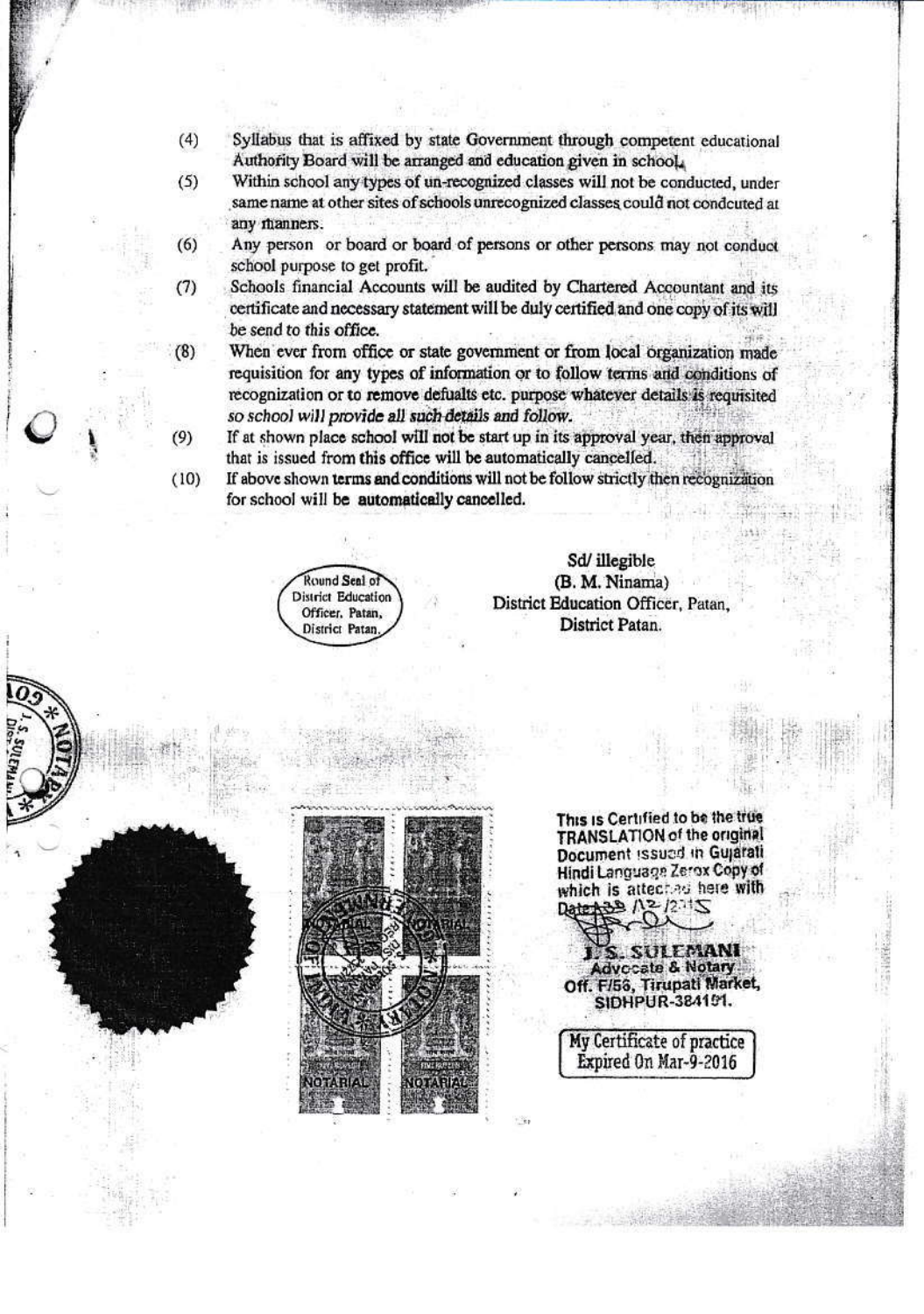- $(4)$ Syllabus that is affixed by state Government through competent educational Authority Board will be arranged and education given in school.
- $(5)$ Within school any types of un-recognized classes will not be conducted, under same name at other sites of schools unrecognized classes could not condcuted at any manners.
- Any person or board or board of persons or other persons may not conduct  $(6)$ school purpose to get profit.
- Schools financial Accounts will be audited by Chartered Accountant and its  $(7)$ certificate and necessary statement will be duly certified and one copy of its will be send to this office.
- $(8)$ When ever from office or state government or from local organization made requisition for any types of information or to follow terms and conditions of recognization or to remove defualts etc. purpose whatever details is requisited so school will provide all such details and follow.
	- If at shown place school will not be start up in its approval year, then approval that is issued from this office will be automatically cancelled.
- If above shown terms and conditions will not be follow strictly then recognization  $(10)$ for school will be automatically cancelled.

Round Seal of **District Education** Officer, Patan, District Patan

Sd/ illegible (B. M. Ninama) District Education Officer, Patan, District Patan.



This is Certified to be the true TRANSLATION of the original Document issued in Gujarati Hindi Language Zerox Copy of which is atteched here with

SULEMANI **Advecate & Notary** Off. F/56, Tirupati Market, SIDHPUR-384151.

My Certificate of practice Expired On Mar-9-2016

 $(9)$